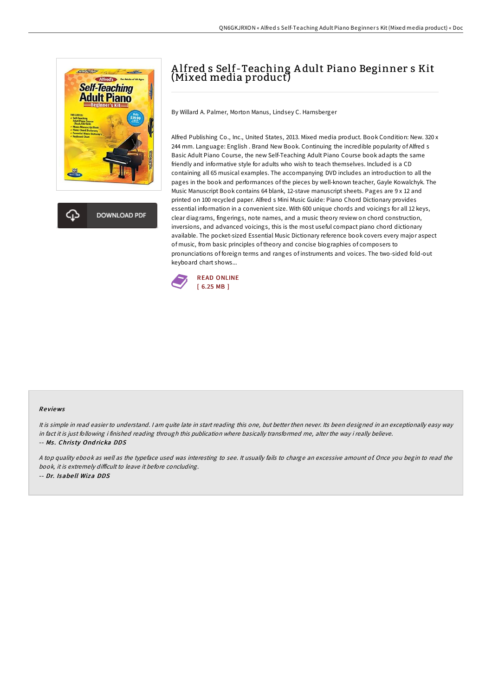

**DOWNLOAD PDF** 

## A lfred s Self-Teaching A dult Piano Beginner s Kit (Mixed media product)

By Willard A. Palmer, Morton Manus, Lindsey C. Harnsberger

Alfred Publishing Co., Inc., United States, 2013. Mixed media product. Book Condition: New. 320 x 244 mm. Language: English . Brand New Book. Continuing the incredible popularity of Alfred s Basic Adult Piano Course, the new Self-Teaching Adult Piano Course book adapts the same friendly and informative style for adults who wish to teach themselves. Included is a CD containing all 65 musical examples. The accompanying DVD includes an introduction to all the pages in the book and performances of the pieces by well-known teacher, Gayle Kowalchyk. The Music Manuscript Book contains 64 blank, 12-stave manuscript sheets. Pages are 9 x 12 and printed on 100 recycled paper. Alfred s Mini Music Guide: Piano Chord Dictionary provides essential information in a convenient size. With 600 unique chords and voicings for all 12 keys, clear diagrams, fingerings, note names, and a music theory review on chord construction, inversions, and advanced voicings, this is the most useful compact piano chord dictionary available. The pocket-sized Essential Music Dictionary reference book covers every major aspect of music, from basic principles of theory and concise biographies of composers to pronunciations of foreign terms and ranges of instruments and voices. The two-sided fold-out keyboard chart shows...



## Re views

It is simple in read easier to understand. I am quite late in start reading this one, but better then never. Its been designed in an exceptionally easy way in fact it is just following i finished reading through this publication where basically transformed me, alter the way i really believe. -- Ms. Christy Ondricka DDS

<sup>A</sup> top quality ebook as well as the typeface used was interesting to see. It usually fails to charge an excessive amount of. Once you begin to read the book, it is extremely difficult to leave it before concluding. -- Dr. Isabe ll Wiza DDS